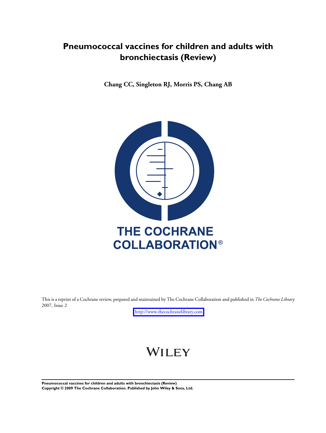## **Pneumococcal vaccines for children and adults with bronchiectasis (Review)**

**Chang CC, Singleton RJ, Morris PS, Chang AB**



This is a reprint of a Cochrane review, prepared and maintained by The Cochrane Collaboration and published in *The Cochrane Library* 2007, Issue 2

<http://www.thecochranelibrary.com>

# WILEY

**Pneumococcal vaccines for children and adults with bronchiectasis (Review) Copyright © 2009 The Cochrane Collaboration. Published by John Wiley & Sons, Ltd.**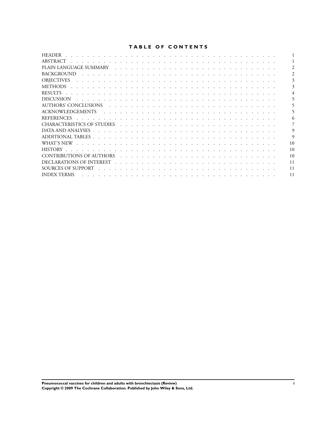## **TABLE OF CONTENTS**

| <b>HEADER</b>                                                                                                                                                                                                                                      |    |
|----------------------------------------------------------------------------------------------------------------------------------------------------------------------------------------------------------------------------------------------------|----|
| ABSTRACT<br>a constitution of the constitution of the constitution of the constitution of the constitution of the constitution                                                                                                                     |    |
|                                                                                                                                                                                                                                                    |    |
| <b>BACKGROUND</b>                                                                                                                                                                                                                                  |    |
| <b>OBIECTIVES</b>                                                                                                                                                                                                                                  |    |
| <b>METHODS</b>                                                                                                                                                                                                                                     |    |
| <b>RESULTS</b>                                                                                                                                                                                                                                     |    |
| <b>DISCUSSION</b><br>and a constitution of the constitution of the constitution of the constitution of the constitution of the constitution of the constitution of the constitution of the constitution of the constitution of the constitution of |    |
| AUTHORS' CONCLUSIONS in the transition of the transition of the state of the state of the state of the state o                                                                                                                                     |    |
|                                                                                                                                                                                                                                                    |    |
| <b>REFERENCES</b><br>a constitution of the constitution of the constitution of the constitution of the constitution of the constitution of the constitution of the constitution of the constitution of the constitution of the constitution of the |    |
|                                                                                                                                                                                                                                                    |    |
|                                                                                                                                                                                                                                                    |    |
|                                                                                                                                                                                                                                                    |    |
|                                                                                                                                                                                                                                                    | 10 |
| <b>HISTORY</b><br>a constitution of the constitution of the constitution of the constitution of the constitution of the constitution of the constitution of the constitution of the constitution of the constitution of the constitution of the    | 10 |
|                                                                                                                                                                                                                                                    | 10 |
|                                                                                                                                                                                                                                                    | 11 |
|                                                                                                                                                                                                                                                    | 11 |
| <b>INDEX TERMS</b>                                                                                                                                                                                                                                 | 11 |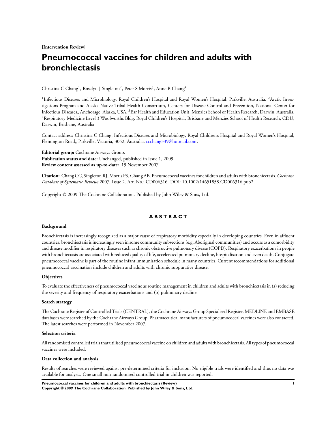**[Intervention Review]**

## **Pneumococcal vaccines for children and adults with bronchiectasis**

Christina C Chang<sup>1</sup>, Rosalyn J Singleton<sup>2</sup>, Peter S Morris<sup>3</sup>, Anne B Chang<sup>4</sup>

<sup>1</sup>Infectious Diseases and Microbiology, Royal Children's Hospital and Royal Women's Hospital, Parkville, Australia. <sup>2</sup>Arctic Investigations Program and Alaska Native Tribal Health Consortium, Centers for Disease Control and Prevention, National Center for Infectious Diseases, Anchorage, Alaska, USA. <sup>3</sup>Ear Health and Education Unit, Menzies School of Health Research, Darwin, Australia. <sup>4</sup>Respiratory Medicine Level 3 Woolworths Bldg, Royal Children's Hospital, Brisbane and Menzies School of Health Research, CDU, Darwin, Brisbane, Australia

Contact address: Christina C Chang, Infectious Diseases and Microbiology, Royal Children's Hospital and Royal Women's Hospital, Flemington Road, Parkville, Victoria, 3052, Australia. [ccchang339@hotmail.com.](mailto:ccchang339@hotmail.com)

**Editorial group:** Cochrane Airways Group. **Publication status and date:** Unchanged, published in Issue 1, 2009. **Review content assessed as up-to-date:** 19 November 2007.

**Citation:** Chang CC, Singleton RJ, Morris PS, Chang AB. Pneumococcal vaccines for children and adults with bronchiectasis. *Cochrane Database of Systematic Reviews* 2007, Issue 2. Art. No.: CD006316. DOI: 10.1002/14651858.CD006316.pub2.

Copyright © 2009 The Cochrane Collaboration. Published by John Wiley & Sons, Ltd.

#### **A B S T R A C T**

#### **Background**

Bronchiectasis is increasingly recognized as a major cause of respiratory morbidity especially in developing countries. Even in affluent countries, bronchiectasis is increasingly seen in some community subsections (e.g. Aboriginal communities) and occurs as a comorbidity and disease modifier in respiratory diseases such as chronic obstructive pulmonary disease (COPD). Respiratory exacerbations in people with bronchiectasis are associated with reduced quality of life, accelerated pulmonary decline, hospitalisation and even death. Conjugate pneumococcal vaccine is part of the routine infant immunisation schedule in many countries. Current recommendations for additional pneumococcal vaccination include children and adults with chronic suppurative disease.

#### **Objectives**

To evaluate the effectiveness of pneumococcal vaccine as routine management in children and adults with bronchiectasis in (a) reducing the severity and frequency of respiratory exacerbations and (b) pulmonary decline.

#### **Search strategy**

The Cochrane Register of Controlled Trials (CENTRAL), the Cochrane Airways Group Specialised Register, MEDLINE and EMBASE databases were searched by the Cochrane Airways Group. Pharmaceutical manufacturers of pneumococcal vaccines were also contacted. The latest searches were performed in November 2007.

#### **Selection criteria**

All randomised controlled trials that utilised pneumococcal vaccine on children and adults with bronchiectasis. All types of pneumococcal vaccines were included.

#### **Data collection and analysis**

Results of searches were reviewed against pre-determined criteria for inclusion. No eligible trials were identified and thus no data was available for analysis. One small non-randomised controlled trial in children was reported.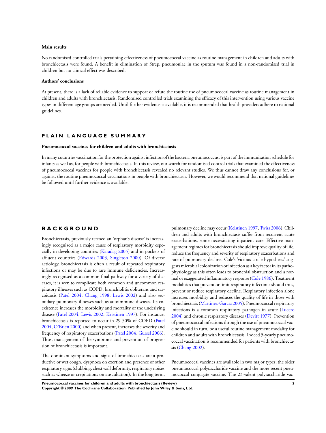#### **Main results**

No randomised controlled trials pertaining effectiveness of pneumococcal vaccine as routine management in children and adults with bronchiectasis were found. A benefit in elimination of Strep. pneumoniae in the sputum was found in a non-randomised trial in children but no clinical effect was described.

#### **Authors' conclusions**

At present, there is a lack of reliable evidence to support or refute the routine use of pneumococcal vaccine as routine management in children and adults with bronchiectasis. Randomised controlled trials examining the efficacy of this intervention using various vaccine types in different age groups are needed. Until further evidence is available, it is recommended that health providers adhere to national guidelines.

#### **P L A I N L A N G U A G E S U M M A R Y**

#### **Pneumococcal vaccines for children and adults with bronchiectasis**

In many countries vaccination for the protection against infection of the bacteria pneumococcus, is part of the immunisation schedule for infants as well as, for people with bronchiectasis. In this review, our search for randomised control trials that examined the effectiveness of pneumococcal vaccines for people with bronchiectasis revealed no relevant studies. We thus cannot draw any conclusions for, or against, the routine pneumococcal vaccinations in people with bronchiectasis. However, we would recommend that national guidelines be followed until further evidence is available.

#### **B A C K G R O U N D**

Bronchiectasis, previously termed an 'orphan's disease' is increasingly recognized as a major cause of respiratory morbidity especially in developing countries ([Karadag 2005](#page-7-0)) and in pockets of affluent countries [\(Edwards 2003,](#page-7-0) [Singleton 2000\)](#page-7-0). Of diverse aetiology, bronchiectasis is often a result of repeated respiratory infections or may be due to rare immune deficiencies. Increasingly recognised as a common final pathway for a variety of diseases, it is seen to complicate both common and uncommon respiratory illnesses such as COPD, bronchiolitis obliterans and sarcoidosis [\(Patel 2004,](#page-7-0) [Chang 1998](#page-7-0), [Lewis 2002\)](#page-7-0) and also secondary pulmonary illnesses such as autoimmune diseases. Its coexistence increases the morbidity and mortality of the underlying disease [\(Patel 2004](#page-7-0), [Lewis 2002,](#page-7-0) [Keistinen 1997\)](#page-7-0). For instance, bronchiectasis is reported to occur in 29-50% of COPD [\(Patel](#page-7-0) [2004](#page-7-0), [O'Brien 2000](#page-7-0)) and when present, increases the severity and frequency of respiratory exacerbations ([Patel 2004,](#page-7-0) [Gursel 2006](#page-7-0)). Thus, management of the symptoms and prevention of progression of bronchiectasis is important.

The dominant symptoms and signs of bronchiectasis are a productive or wet cough, dyspnoea on exertion and presence of other respiratory signs (clubbing, chest wall deformity, respiratory noises such as wheeze or crepitations on auscultation). In the long term,

pulmonary decline may occur [\(Keistinen 1997](#page-7-0),[Twiss 2006](#page-7-0)). Children and adults with bronchiectasis suffer from recurrent acute exacerbations, some necessitating inpatient care. Effective management regimes for bronchiectasis should improve quality of life, reduce the frequency and severity of respiratory exacerbations and rate of pulmonary decline. Cole's 'vicious circle hypothesis' suggests microbial colonization or infection as a key factor in its pathophysiology as this often leads to bronchial obstruction and a normal or exaggerated inflammatory response ([Cole 1986\)](#page-7-0). Treatment modalities that prevent or limit respiratory infections should thus, prevent or reduce respiratory decline. Respiratory infection alone increases morbidity and reduces the quality of life in those with bronchiectasis [\(Martinez-Garcia 2005](#page-7-0)). Pneumococcal respiratory infections is a common respiratory pathogen in acute [\(Lucero](#page-7-0) [2004](#page-7-0)) and chronic respiratory diseases ([Devitt 1977](#page-7-0)). Prevention of pneumococcal infections through the use of pneumococcal vaccine should in turn, be a useful routine management modality for children and adults with bronchiectasis. Indeed 5-yearly pneumococcal vaccination is recommended for patients with bronchiectasis [\(Chang 2002\)](#page-7-0).

Pneumococcal vaccines are available in two major types; the older pneumococcal polysaccharide vaccine and the more recent pneumococcal conjugate vaccine. The 23-valent polysaccharide vac-

**Pneumococcal vaccines for children and adults with bronchiectasis (Review) 2 Copyright © 2009 The Cochrane Collaboration. Published by John Wiley & Sons, Ltd.**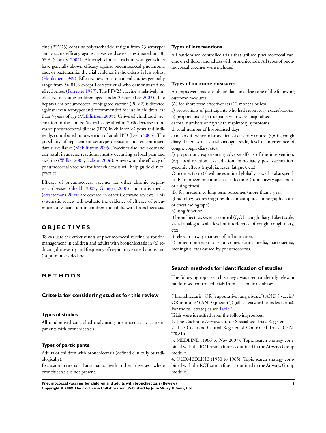cine (PPV23) contains polysaccharide antigen from 23 serotypes and vaccine efficacy against invasive disease is estimated at 38- 53% ([Conaty 2004](#page-7-0)). Although clinical trials in younger adults have generally shown efficacy against pneumococcal pneumonia and, or bacteraemia, the trial evidence in the elderly is less robust [\(Honkanen 1999\)](#page-7-0). Effectiveness in case-control studies generally range from 56-81% except Forrester et al who demonstrated no effectiveness [\(Forrester 1987](#page-7-0)). The PPV23 vaccine is relatively ineffective in young children aged under 2 years ([Lee 2003](#page-7-0)). The heptavalent pneumococcal conjugated vaccine (PCV7) is directed against seven serotypes and recommended for use in children less than 5 years of age [\(McEllistrem 2005\)](#page-7-0). Universal childhood vaccination in the United States has resulted in 70% decrease in invasive pneumococcal disease (IPD) in children <2 years and indirectly, contributed to prevention of adult IPD [\(Lexau 2005\)](#page-7-0). The possibility of replacement serotype disease mandates continued data surveillance ([McEllistrem 2005\)](#page-7-0). Vaccines also incur cost and can result in adverse reactions, mostly occurring as local pain and swelling ([Walker 2005](#page-7-0), [Jackson 2006\)](#page-7-0). A review on the efficacy of pneumococcal vaccines for bronchiectasis will help guide clinical practice.

Efficacy of pneumococcal vaccines for other chronic respiratory diseases ([Sheikh 2002](#page-7-0), [Granger 2006](#page-7-0)) and otitis media [\(Straetemans 2004](#page-7-0)) are covered in other Cochrane reviews. This systematic review will evaluate the evidence of efficacy of pneumococcal vaccination in children and adults with bronchiectasis.

## **O B J E C T I V E S**

To evaluate the effectiveness of pneumococcal vaccine as routine management in children and adults with bronchiectasis in (a) reducing the severity and frequency of respiratory exacerbations and (b) pulmonary decline.

#### **M E T H O D S**

#### **Criteria for considering studies for this review**

#### **Types of studies**

All randomised controlled trials using pneumococcal vaccine in patients with bronchiectasis.

#### **Types of participants**

Adults or children with bronchiectasis (defined clinically or radiologically).

Exclusion criteria: Participants with other diseases where bronchiectasis is not present.

#### **Types of interventions**

All randomised controlled trials that utilised pneumococcal vaccine on children and adults with bronchiectasis. All types of pneumococcal vaccines were included.

#### **Types of outcome measures**

Attempts were made to obtain data on at least one of the following outcome measures:

(A) for short term effectiveness (12 months or less)

a) proportions of participants who had respiratory exacerbations

b) proportions of participants who were hospitalised,

c) total numbers of days with respiratory symptoms

d) total number of hospitalised days

e) mean difference in bronchiectasis severity control (QOL, cough diary, Likert scale, visual analogue scale, level of interference of cough, cough diary, etc),

f) proportions experiencing adverse effects of the intervention, (e.g. local reaction, exacerbation immediately post vaccination, systemic effects (myalgia, fever, fatigue), etc)

Outcomes (a) to (e) will be examined globally as well as also specifically to proven pneumococcal infections (from airway specimens or rising titres)

(B) for medium to long term outcomes (more than 1 year)

g) radiology scores (high resolution computed tomography scans or chest radiograph)

h) lung function

i) bronchiectasis severity control (QOL, cough diary, Likert scale, visual analogue scale, level of interference of cough, cough diary,  $etc$ )

j) relevant airway markers of inflammation.

k) other non-respiratory outcomes (otitis media, bacteraemia, meningitis, etc) caused by pneumococcus.

#### **Search methods for identification of studies**

The following topic search strategy was used to identify relevant randomised controlled trials from electronic databases:

("bronchiectasis" OR "suppurative lung disease") AND ((vaccin\* OR immunis\*) AND (pneum\*)) (all as textword or index terms). For the full strategies see [Table 1](#page-10-0)

Trials were identified from the following sources:

1. The Cochrane Airways Group Specialised Trials Register

2. The Cochrane Central Register of Controlled Trials (CEN-TRAL)

3. MEDLINE (1966 to Nov 2007). Topic search strategy combined with the RCT search filter as outlined in the Airways Group module.

4. OLDMEDLINE (1950 to 1965). Topic search strategy combined with the RCT search filter as outlined in the Airways Group module.

**Pneumococcal vaccines for children and adults with bronchiectasis (Review) 3**

**Copyright © 2009 The Cochrane Collaboration. Published by John Wiley & Sons, Ltd.**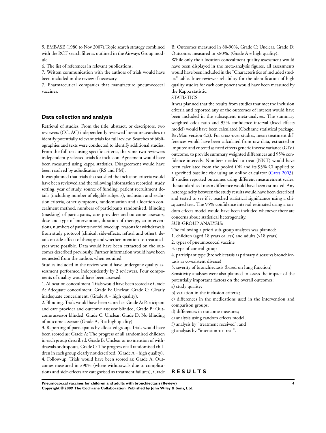5. EMBASE (1980 to Nov 2007).Topic search strategy combined with the RCT search filter as outlined in the Airways Group module.

6. The list of references in relevant publications.

7. Written communication with the authors of trials would have been included in the review if necessary.

7. Pharmaceutical companies that manufacture pneumococcal vaccines.

#### **Data collection and analysis**

Retrieval of studies: From the title, abstract, or descriptors, two reviewers (CC, AC) independently reviewed literature searches to identify potentially relevant trials for full review. Searches of bibliographies and texts were conducted to identify additional studies. From the full text using specific criteria, the same two reviewers independently selected trials for inclusion. Agreement would have been measured using kappa statistics. Disagreement would have been resolved by adjudication (RS and PM).

It was planned that trials that satisfied the inclusion criteria would have been reviewed and the following information recorded: study setting, year of study, source of funding, patient recruitment details (including number of eligible subjects), inclusion and exclusion criteria, other symptoms, randomisation and allocation concealment method, numbers of participants randomised, blinding (masking) of participants, care providers and outcome assessors, dose and type of intervention, duration of therapy, co-interventions, numbers of patients not followed up, reasons for withdrawals from study protocol (clinical, side-effects, refusal and other), details on side-effects of therapy, and whether intention-to-treat analyses were possible. Data would have been extracted on the outcomes described previously. Further information would have been requested from the authors when required.

Studies included in the review would have undergone quality assessment performed independently by 2 reviewers. Four components of quality would have been assessed:

1. Allocation concealment. Trials would have been scored as: Grade A: Adequate concealment, Grade B: Unclear, Grade C: Clearly inadequate concealment. (Grade A = high quality).

2. Blinding. Trials would have been scored as: Grade A: Participant and care provider and outcome assessor blinded, Grade B: Outcome assessor blinded, Grade C: Unclear, Grade D: No blinding of outcome assessor (Grade A, B = high quality).

3. Reporting of participants by allocated group. Trials would have been scored as: Grade A: The progress of all randomised children in each group described, Grade B: Unclear or no mention of withdrawals or dropouts, Grade C: The progress of all randomised children in each group clearly not described. (Grade A = high quality). 4. Follow-up. Trials would have been scored as: Grade A: Outcomes measured in >90% (where withdrawals due to complica-

tions and side-effects are categorised as treatment failures), Grade

B: Outcomes measured in 80-90%, Grade C: Unclear, Grade D: Outcomes measured in <80%. (Grade  $A = high$  quality).

While only the allocation concealment quality assessment would have been displayed in the meta-analysis figures, all assessments would have been included in the "Characteristics of included studies" table. Inter-reviewer reliability for the identification of high quality studies for each component would have been measured by the Kappa statistic.

**STATISTICS** 

It was planned that the results from studies that met the inclusion criteria and reported any of the outcomes of interest would have been included in the subsequent meta-analyses. The summary weighted odds ratio and 95% confidence interval (fixed effects model) would have been calculated (Cochrane statistical package, RevMan version 4.2). For cross-over studies, mean treatment differences would have been calculated from raw data, extracted or imputed and entered as fixed effects generic inverse variance (GIV) outcome, to provide summary weighted differences and 95% confidence intervals. Numbers needed to treat (NNT) would have been calculated from the pooled OR and its 95% CI applied to a specified baseline risk using an online calculator [\(Cates 2003](#page-7-0)). If studies reported outcomes using different measurement scales, the standardised mean difference would have been estimated. Any heterogeneity between the study results would have been described and tested to see if it reached statistical significance using a chisquared test. The 95% confidence interval estimated using a random effects model would have been included whenever there are concerns about statistical heterogeneity.

#### SUB-GROUP ANALYSIS:

The following a priori sub-group analyses was planned:

- 1. children (aged 18 years or less) and adults (>18 years)
- 2. types of pneumococcal vaccine
- 3. type of control group

4. participant type (bronchiectasis as primary disease vs bronchiectasis as co-existent disease)

5. severity of bronchiectasis (based on lung function)

Sensitivity analyses were also planned to assess the impact of the potentially important factors on the overall outcomes:

a) study quality;

b) variation in the inclusion criteria;

c) differences in the medications used in the intervention and comparison groups;

d) differences in outcome measures;

e) analysis using random effects model;

f) analysis by "treatment received"; and

g) analysis by "intention-to-treat".

## **R E S U L T S**

**Pneumococcal vaccines for children and adults with bronchiectasis (Review) 4**

**Copyright © 2009 The Cochrane Collaboration. Published by John Wiley & Sons, Ltd.**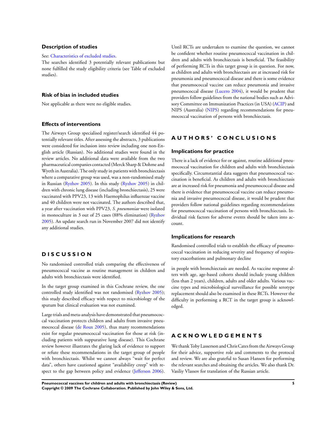#### **Description of studies**

#### See: [Characteristics of excluded studies.](#page-9-0)

The searches identified 3 potentially relevant publications but none fulfilled the study eligibility criteria (see Table of excluded studies).

#### **Risk of bias in included studies**

Not applicable as there were no eligible studies.

#### **Effects of interventions**

The Airways Group specialised register/search identified 44 potentially relevant titles. After assessing the abstracts, 3 publications were considered for inclusion into review including one non-English article (Russian). No additional studies were found in the review articles. No additional data were available from the two pharmaceutical companies contacted (Merck Sharp & Dohme and Wyeth in Australia). The only study in patients with bronchiectasis where a comparative group was used, was a non-randomised study in Russian ([Ryzhov 2005](#page-7-0)). In this study [\(Ryzhov 2005](#page-7-0)) in children with chronic lung disease (including bronchiectasis), 25 were vaccinated with PPV23, 13 with Haemophilus influenzae vaccine and 40 children were not vaccinated. The authors described that, a year after vaccination with PPV23, *S. pneumoniae* were isolated in monoculture in 3 out of 25 cases (88% elimination) ([Ryzhov](#page-7-0) [2005](#page-7-0)). An update search run in November 2007 did not identify any additional studies.

## **D I S C U S S I O N**

No randomised controlled trials comparing the effectiveness of pneumococcal vaccine as routine management in children and adults with bronchiectasis were identified.

In the target group examined in this Cochrane review, the one controlled study identified was not randomised [\(Ryzhov 2005](#page-7-0)); this study described efficacy with respect to microbiology of the sputum but clinical evaluation was not examined.

Large trials and meta-analysis have demonstrated that pneumococcal vaccination protects children and adults from invasive pneumococcal disease ([de Roux 2005](#page-7-0)), thus many recommendations exist for regular pneumococcal vaccination for those at risk (including patients with suppurative lung disease). This Cochrane review however illustrates the glaring lack of evidence to support or refute these recommendations in the target group of people with bronchiectasis. Whilst we cannot always "wait for perfect data", others have cautioned against "availability creep" with re-spect to the gap between policy and evidence ([Jefferson 2006](#page-7-0)).

Until RCTs are undertaken to examine the question, we cannot be confident whether routine pneumococcal vaccination in children and adults with bronchiectasis is beneficial. The feasibility of performing RCTs in this target group is in question. For now, as children and adults with bronchiectasis are at increased risk for pneumonia and pneumococcal disease and there is some evidence that pneumococcal vaccine can reduce pneumonia and invasive pneumococcal disease ([Lucero 2004\)](#page-7-0), it would be prudent that providers follow guidelines from the national bodies such as Advisory Committee on Immunization Practices (in USA) ([ACIP\)](#page-7-0) and NIPS (Australia) [\(NIPS\)](#page-7-0) regarding recommendations for pneumococcal vaccination of persons with bronchiectasis.

## **A U T H O R S ' C O N C L U S I O N S**

#### **Implications for practice**

There is a lack of evidence for or against, routine additional pneumococcal vaccination for children and adults with bronchiectasis specifically. Circumstantial data suggests that pneumococcal vaccination is beneficial. As children and adults with bronchiectasis are at increased risk for pneumonia and pneumococcal disease and there is evidence that pneumococcal vaccine can reduce pneumonia and invasive pneumococcal disease, it would be prudent that providers follow national guidelines regarding recommendations for pneumococcal vaccination of persons with bronchiectasis. Individual risk factors for adverse events should be taken into account.

#### **Implications for research**

Randomised controlled trials to establish the efficacy of pneumococcal vaccination in reducing severity and frequency of respiratory exacerbations and pulmonary decline

in people with bronchiectasis are needed. As vaccine response alters with age, age-based cohorts should include young children (less than 2 years), children, adults and older adults. Various vaccine types and microbiological surveillance for possible serotype replacement should also be examined in these RCTs. However the difficulty in performing a RCT in the target group is acknowledged.

## **A C K N O W L E D G E M E N T S**

We thank Toby Lasserson and Chris Cates from the Airways Group for their advice, supportive role and comments to the protocol and review. We are also grateful to Susan Hansen for performing the relevant searches and obtaining the articles. We also thank Dr. Vasiliy Vlassov for translation of the Russian article.

**Pneumococcal vaccines for children and adults with bronchiectasis (Review) 5 Copyright © 2009 The Cochrane Collaboration. Published by John Wiley & Sons, Ltd.**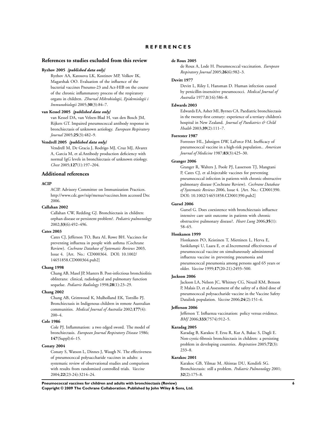#### **R E F E R E N C E S**

#### <span id="page-7-0"></span>**References to studies excluded from this review**

#### **Ryzhov 2005** *{published data only}*

Ryzhov AA, Katosova LK, Kostinov MP, Volkov IK, Magarshak OO. Evaluation of the influence of the bacterial vaccines Pneumo-23 and Act-HIB on the course of the chronic inflammatory process of the respiratory organs in children. *Zhurnal Mikrobiologii, Epidemiologii i Immunobiologii* 2005;**30**(3):84–7.

#### **van Kessel 2005** *{published data only}*

van Kessel DA, van Velzen-Blad H, van den Bosch JM, Rijkers GT. Impaired pneumococcal antibody response in bronchiectasis of unknown aetiology. *European Respiratory Journal* 2005;**25**(3):482–9.

#### **Vendrell 2005** *{published data only}*

Vendrell M, De Gracia J, Rodrigo MJ, Cruz MJ, Alvarez A, Garcia M, et al.Antibody production deficiency with normal IgG levels in bronchiectasis of unknown etiology. *Chest* 2005;**127**(1):197–204.

### **Additional references**

#### **ACIP**

ACIP. Advisory Committee on Immunization Practices. http://www.cdc.gov/nip/menus/vaccines.htm accessed Dec 2006.

#### **Callahan 2002**

Callahan CW, Redding GJ. Bronchiectasis in children: orphan disease or persistent problem?. *Pediatric pulmonology* 2002;**33**(6):492–496.

#### **Cates 2003**

Cates CJ, Jefferson TO, Bara AI, Rowe BH. Vaccines for preventing influenza in people with asthma (Cochrane Review). *Cochrane Database of Systematic Reviews* 2003, Issue 4. [Art. No.: CD000364. DOI: 10.1002/ 14651858.CD000364.pub2]

#### **Chang 1998**

Chang AB, Masel JP, Masters B. Post-infectious bronchiolitis obliterans: clinical, radiological and pulmonary function sequelae. *Pediatric Radiology* 1998;**28**(1):23–29.

#### **Chang 2002**

Chang AB, Grimwood K, Mulholland EK, Torzillo PJ. Bronchiectasis in Indigenous children in remote Australian communities. *Medical Journal of Australia* 2002;**177**(4): 200–4.

#### **Cole 1986**

Cole PJ. Inflammation: a two edged sword. The model of bronchiectasis. *European Journal Respiratory Disease* 1986; **147**(Suppl):6–15.

#### **Conaty 2004**

Conaty S, Watson L, Dinnes J, Waugh N. The effectiveness of pneumococcal polysaccharide vaccines in adults: a systematic review of observational studies and comparison with results from randomised controlled trials. *Vaccine* 2004;**22**(23-24):3214–24.

#### **de Roux 2005**

de Roux A, Lode H. Pneumococcal vaccination. *European Respiratory Journal* 2005;**26**(6):982–3.

#### **Devitt 1977**

Devitt L, Riley I, Hansman D. Human infection caused by penicillin-insensitive pneumococci. *Medical Journal of Australia* 1977;**1**(16):586–8.

#### **Edwards 2003**

Edwards EA, Asher MI, Byrnes CA. Paediatric bronchiectasis in the twenty-first century: experience of a tertiary children's hospital in New Zealand. *Journal of Paediatrics & Child Health* 2003;**39**(2):111–7.

#### **Forrester 1987**

Forrester HL, Jahnigen DW, LaForce FM. Inefficacy of pneumococcal vaccine in a high-risk population.. *American Journal of Medicine* 1987;**83**(3):425–30.

#### **Granger 2006**

Granger R, Walters J, Poole PJ, Lasserson TJ, Mangtani P, Cates CJ, et al.Injectable vaccines for preventing pneumococcal infection in patients with chronic obstructive pulmonary disease (Cochrane Review). *Cochrane Database of Systematic Reviews* 2006, Issue 4. [Art. No.: CD001390. DOI: 10.1002/14651858.CD001390.pub2]

#### **Gursel 2006**

Gursel G. Does coexistence with bronchiectasis influence intensive care unit outcome in patients with chronic obstructive pulmonary disease?. *Heart Lung* 2006;**35**(1): 58–65.

#### **Honkanen 1999**

Honkanen PO, Keistinen T, Miettinen L, Herva E, Sankilampi U, Laara E, et al.Incremental effectiveness of pneumococcal vaccine on simultaneously administered influenza vaccine in preventing pneumonia and pneumococcal pneumonia among persons aged 65 years or older. *Vaccine* 1999;**17**(20-21):2493–500.

#### **Jackson 2006**

Jackson LA, Nelson JC, Whitney CG, Neuzil KM, Benson P, Malais D, et al.Assessment of the safety of a third dose of pneumococcal polysaccharide vaccine in the Vaccine Safety Datalink population. *Vaccine* 2006;**24**(2):151–6.

#### **Jefferson 2006**

Jefferson T. Influenza vaccination: policy versus evidence. *BMJ* 2006;**333**(7574):912–5.

#### **Karadag 2005**

Karadag B, Karakoc F, Ersu R, Kut A, Bakac S, Dagli E. Non-cystic-fibrosis bronchiectasis in children: a persisting problem in developing countries. *Respiration* 2005;**72**(3): 233–8.

#### **Karakoc 2001**

Karakoc GB, Yilmaz M, Altintas DU, Kendirli SG. Bronchiectasis: still a problem. *Pediatric Pulmonology* 2001; **32**(2):175–8.

**Copyright © 2009 The Cochrane Collaboration. Published by John Wiley & Sons, Ltd.**

## **Pneumococcal vaccines for children and adults with bronchiectasis (Review) 6**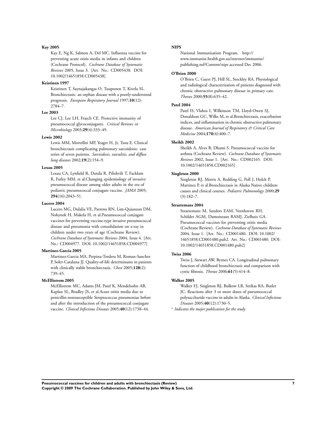#### **Kay 2005**

Kay E, Ng K, Salmon A, Del MC. Influenza vaccine for preventing acute otitis media in infants and children (Cochrane Protocol). *Cochrane Database of Systematic Reviews* 2005, Issue 3. [Art. No.: CD005438. DOI: 10.1002/14651858.CD005438]

#### **Keistinen 1997**

Keistinen T, Saynajakangas O, Tuuponen T, Kivela SL. Bronchiectasis: an orphan disease with a poorly-understood prognosis. *European Respiratory Journal* 1997;**10**(12): 2784–7.

#### **Lee 2003**

Lee CJ, Lee LH, Frasch CE. Protective immunity of pneumococcal glycoconjugates. *Critical Reviews in Microbiology* 2003;**29**(4):333–49.

#### **Lewis 2002**

Lewis MM, Mortelliti MP, Yeager H, Jr, Tsou E. Clinical bronchiectasis complicating pulmonary sarcoidosis: case series of seven patients. *Sarcoidosis, vasculitis, and diffuse lung diseases* 2002;**19**(2):154–9.

#### **Lexau 2005**

Lexau CA, Lynfield R, Danila R, Pilishvili T, Facklam R, Farley MM, et al.Changing epidemiology of invasive pneumococcal disease among older adults in the era of pediatric pneumococcal conjugate vaccine. *JAMA* 2005; **294**(16):2043–51.

#### **Lucero 2004**

Lucero MG, Dulalia VE, Parreno RN, Lim-Quianzon DM, Nohynek H, Makela H, et al.Pneumococcal conjugate vaccines for preventing vaccine-type invasive pneumococcal disease and pneumonia with consolidation on x-ray in children under two years of age (Cochrane Review). *Cochrane Database of Systematic Reviews* 2004, Issue 4. [Art. No.: CD004977. DOI: 10.1002/14651858.CD004977]

#### **Martinez-Garcia 2005**

Martinez-Garcia MA, Perpina-Tordera M, Roman-Sanchez P, Soler-Cataluna JJ. Quality-of-life determinants in patients with clinically stable bronchiectasis. *Chest* 2005;**128**(2): 739–45.

#### **McEllistrem 2005**

McEllistrem MC, Adams JM, Patel K, Mendelsohn AB, Kaplan SL, Bradley JS, et al.Acute otitis media due to penicillin-nonsusceptible Streptococcus pneumoniae before and after the introduction of the pneumococcal conjugate vaccine. *Clinical Infectious Diseases* 2005;**40**(12):1738–44.

#### **NIPS**

National Immunisation Program. http:// www.immunise.health.gov.au/internet/immunise/ publishing.nsf/Content/nips accessed Dec 2006.

#### **O'Brien 2000**

O'Brien C, Guest PJ, Hill SL, Stockley RA. Physiological and radiological characterisation of patients diagnosed with chronic obstructive pulmonary disease in primary care. *Thorax* 2000;**55**(8):635–42.

#### **Patel 2004**

Patel IS, Vlahos I, Wilkinson TM, Lloyd-Owen SJ, Donaldson GC, Wilks M, et al.Bronchiectasis, exacerbation indices, and inflammation in chronic obstructive pulmonary disease. *American Journal of Respiratory & Critical Care Medicine* 2004;**170**(4):400–7.

#### **Sheikh 2002**

Sheikh A, Alves B, Dhami S. Pneumococcal vaccine for asthma (Cochrane Review). *Cochrane Database of Systematic Reviews* 2002, Issue 1. [Art. No.: CD002165. DOI: 10.1002/14651858.CD002165]

#### **Singleton 2000**

Singleton RJ, Morris A, Redding G, Poll J, Holck P, Martinez P, et al.Bronchiectasis in Alaska Native children: causes and clinical courses. *Pediatric Pulmonology* 2000;**29**  $(3):182-7.$ 

#### **Straetemans 2004**

Straetemans M, Sanders EAM, Veenhoven RH, Schilder AGM, Damoiseaux RAMJ, Zielhuis GA. Pneumococcal vaccines for preventing otitis media (Cochrane Review). *Cochrane Database of Systematic Reviews* 2004, Issue 1. [Art. No.: CD001480. DOI: 10.1002/ 14651858.CD001480.pub2. Art. No.: CD001480. DOI: 10.1002/14651858.CD001480.pub2]

#### **Twiss 2006**

Twiss J, Stewart AW, Byrnes CA. Longitudinal pulmonary function of childhood bronchiectasis and comparison with cystic fibrosis. *Thorax* 2006;**61**(5):414–8.

#### **Walker 2005**

Walker FJ, Singleton RJ, Bulkow LR, Strikas RA, Butler JC. Reactions after 3 or more doses of pneumococcal polysaccharide vaccine in adults in Alaska. *Clinical Infectious Diseases* 2005;**40**(12):1730–5.

∗ *Indicates the major publication for the study*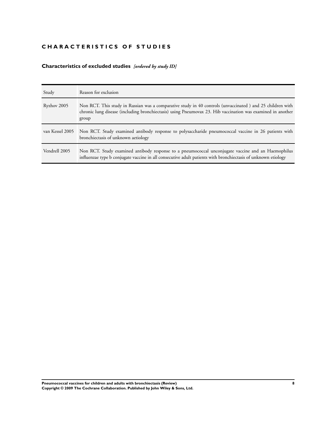## <span id="page-9-0"></span>**CHARACTERISTICS OF STUDIES**

## **Characteristics of excluded studies** *[ordered by study ID]*

| Study           | Reason for exclusion                                                                                                                                                                                                              |
|-----------------|-----------------------------------------------------------------------------------------------------------------------------------------------------------------------------------------------------------------------------------|
| Ryzhov 2005     | Non RCT. This study in Russian was a comparative study in 40 controls (unvaccinated) and 25 children with<br>chronic lung disease (including bronchiectasis) using Pneumovax 23. Hib vaccination was examined in another<br>group |
| van Kessel 2005 | Non RCT. Study examined antibody response to polysaccharide pneumococcal vaccine in 26 patients with<br>bronchiectasis of unknown aetiology                                                                                       |
| Vendrell 2005   | Non RCT. Study examined antibody response to a pneumococcal unconjugate vaccine and an Haemophilus<br>influenzae type b conjugate vaccine in all consecutive adult patients with bronchiectasis of unknown etiology               |

**Pneumococcal vaccines for children and adults with bronchiectasis (Review) 8 Copyright © 2009 The Cochrane Collaboration. Published by John Wiley & Sons, Ltd.**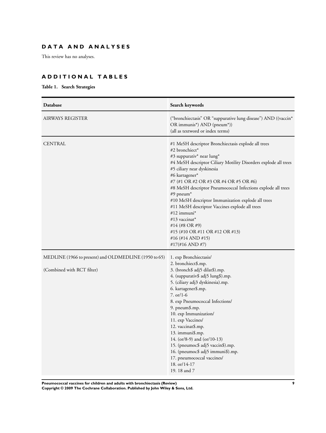## <span id="page-10-0"></span>**D A T A A N D A N A L Y S E S**

This review has no analyses.

## **A D D I T I O N A L T A B L E S**

**Table 1. Search Strategies**

| Database                                                                            | Search keywords                                                                                                                                                                                                                                                                                                                                                                                                                                                                                                                                                                 |
|-------------------------------------------------------------------------------------|---------------------------------------------------------------------------------------------------------------------------------------------------------------------------------------------------------------------------------------------------------------------------------------------------------------------------------------------------------------------------------------------------------------------------------------------------------------------------------------------------------------------------------------------------------------------------------|
| AIRWAYS REGISTER                                                                    | ("bronchiectasis" OR "suppurative lung disease") AND ((vaccin*<br>OR immunis*) AND (pneum*))<br>(all as textword or index terms)                                                                                                                                                                                                                                                                                                                                                                                                                                                |
| <b>CENTRAL</b>                                                                      | #1 MeSH descriptor Bronchiectasis explode all trees<br>#2 bronchiect*<br>#3 suppurativ* near lung*<br>#4 MeSH descriptor Ciliary Motility Disorders explode all trees<br>#5 ciliary near dyskinesia<br>#6 kartagener*<br>#7 (#1 OR #2 OR #3 OR #4 OR #5 OR #6)<br>#8 MeSH descriptor Pneumococcal Infections explode all trees<br>#9 pneum*<br>#10 MeSH descriptor Immunization explode all trees<br>#11 MeSH descriptor Vaccines explode all trees<br>#12 immuni*<br>#13 vaccinat*<br>#14 (#8 OR #9)<br>#15 (#10 OR #11 OR #12 OR #13)<br>#16 (#14 AND #15)<br>#17(#16 AND #7) |
| MEDLINE (1966 to present) and OLDMEDLINE (1950 to 65)<br>(Combined with RCT filter) | 1. exp Bronchiectasis/<br>2. bronchiect\$.mp.<br>3. (bronch\$ adj5 dilat\$).mp.<br>4. (suppurativ\$ adj5 lung\$).mp.<br>5. (ciliary adj3 dyskinesia).mp.<br>6. kartagener\$.mp.<br>$7. or / 1-6$<br>8. exp Pneumococcal Infections/<br>9. pneum\$.mp.<br>10. exp Immunization/<br>11. exp Vaccines/<br>12. vaccinat\$.mp.<br>13. immuni\$.mp.<br>14. (or/8-9) and (or/10-13)<br>15. (pneumoc\$ adj5 vaccin\$).mp.<br>16. (pneumoc\$ adj5 immuni\$).mp.<br>17. pneumococcal vaccines/<br>18. or/14-17<br>19.18 and 7                                                             |

**Pneumococcal vaccines for children and adults with bronchiectasis (Review) 9**

**Copyright © 2009 The Cochrane Collaboration. Published by John Wiley & Sons, Ltd.**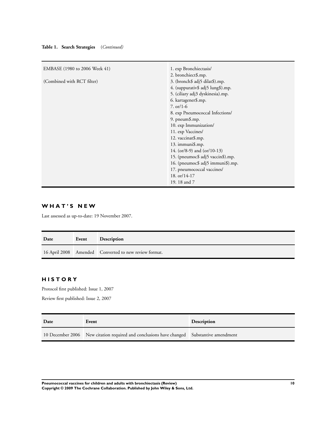| EMBASE (1980 to 2006 Week 41) | 1. exp Bronchiectasis/<br>2. bronchiect\$.mp. |  |
|-------------------------------|-----------------------------------------------|--|
| (Combined with RCT filter)    | 3. (bronch\$ adj5 dilat\$).mp.                |  |
|                               | 4. (suppurativ\$ adj5 lung\$).mp.             |  |
|                               | 5. (ciliary adj3 dyskinesia).mp.              |  |
|                               | 6. kartagener\$.mp.                           |  |
|                               | 7. or/1-6                                     |  |
|                               | 8. exp Pneumococcal Infections/               |  |
|                               | 9. pneum\$.mp.                                |  |
|                               |                                               |  |
|                               | 10. exp Immunization/                         |  |
|                               | 11. exp Vaccines/                             |  |
|                               | 12. vaccinat\$.mp.                            |  |
|                               | 13. immuni\$.mp.                              |  |
|                               | 14. (or/8-9) and (or/10-13)                   |  |
|                               | 15. (pneumoc\$ adj5 vaccin\$).mp.             |  |
|                               | 16. (pneumoc\$ adj5 immuni\$).mp.             |  |
|                               | 17. pneumococcal vaccines/                    |  |
|                               | 18. or/14-17                                  |  |
|                               | 19.18 and 7                                   |  |

## **W H A T ' S N E W**

Last assessed as up-to-date: 19 November 2007.

| Date | Event | <b>Description</b>                                    |
|------|-------|-------------------------------------------------------|
|      |       | 16 April 2008 Amended Converted to new review format. |

## **H I S T O R Y**

Protocol first published: Issue 1, 2007

Review first published: Issue 2, 2007

| Date | Event                                                                                     | <b>Description</b> |
|------|-------------------------------------------------------------------------------------------|--------------------|
|      | 10 December 2006 New citation required and conclusions have changed Substantive amendment |                    |

**Pneumococcal vaccines for children and adults with bronchiectasis (Review) 10 Copyright © 2009 The Cochrane Collaboration. Published by John Wiley & Sons, Ltd.**